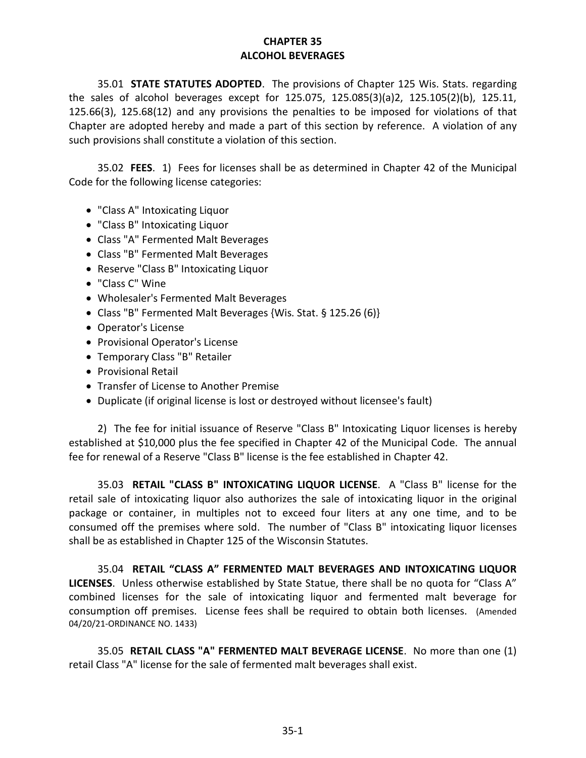## **CHAPTER 35 ALCOHOL BEVERAGES**

35.01 **STATE STATUTES ADOPTED**. The provisions of Chapter 125 Wis. Stats. regarding the sales of alcohol beverages except for 125.075, 125.085(3)(a)2, 125.105(2)(b), 125.11, 125.66(3), 125.68(12) and any provisions the penalties to be imposed for violations of that Chapter are adopted hereby and made a part of this section by reference. A violation of any such provisions shall constitute a violation of this section.

35.02 **FEES**. 1) Fees for licenses shall be as determined in Chapter 42 of the Municipal Code for the following license categories:

- "Class A" Intoxicating Liquor
- "Class B" Intoxicating Liquor
- Class "A" Fermented Malt Beverages
- Class "B" Fermented Malt Beverages
- Reserve "Class B" Intoxicating Liquor
- "Class C" Wine
- Wholesaler's Fermented Malt Beverages
- Class "B" Fermented Malt Beverages {Wis. Stat. § 125.26 (6)}
- Operator's License
- Provisional Operator's License
- Temporary Class "B" Retailer
- Provisional Retail
- Transfer of License to Another Premise
- Duplicate (if original license is lost or destroyed without licensee's fault)

2) The fee for initial issuance of Reserve "Class B" Intoxicating Liquor licenses is hereby established at \$10,000 plus the fee specified in Chapter 42 of the Municipal Code. The annual fee for renewal of a Reserve "Class B" license is the fee established in Chapter 42.

35.03 **RETAIL "CLASS B" INTOXICATING LIQUOR LICENSE**. A "Class B" license for the retail sale of intoxicating liquor also authorizes the sale of intoxicating liquor in the original package or container, in multiples not to exceed four liters at any one time, and to be consumed off the premises where sold. The number of "Class B" intoxicating liquor licenses shall be as established in Chapter 125 of the Wisconsin Statutes.

35.04 **RETAIL "CLASS A" FERMENTED MALT BEVERAGES AND INTOXICATING LIQUOR LICENSES**. Unless otherwise established by State Statue, there shall be no quota for "Class A" combined licenses for the sale of intoxicating liquor and fermented malt beverage for consumption off premises. License fees shall be required to obtain both licenses. (Amended 04/20/21-ORDINANCE NO. 1433)

35.05 **RETAIL CLASS "A" FERMENTED MALT BEVERAGE LICENSE**. No more than one (1) retail Class "A" license for the sale of fermented malt beverages shall exist.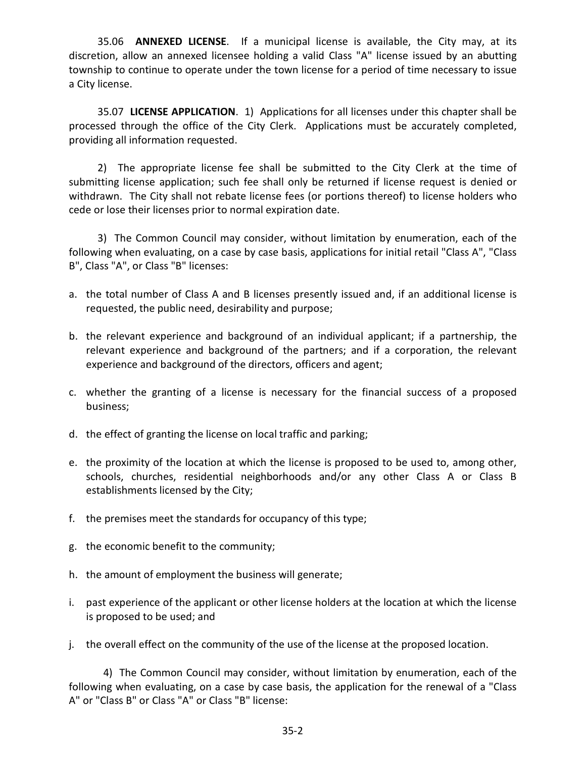35.06 **ANNEXED LICENSE**. If a municipal license is available, the City may, at its discretion, allow an annexed licensee holding a valid Class "A" license issued by an abutting township to continue to operate under the town license for a period of time necessary to issue a City license.

35.07 **LICENSE APPLICATION**. 1) Applications for all licenses under this chapter shall be processed through the office of the City Clerk. Applications must be accurately completed, providing all information requested.

2) The appropriate license fee shall be submitted to the City Clerk at the time of submitting license application; such fee shall only be returned if license request is denied or withdrawn. The City shall not rebate license fees (or portions thereof) to license holders who cede or lose their licenses prior to normal expiration date.

3) The Common Council may consider, without limitation by enumeration, each of the following when evaluating, on a case by case basis, applications for initial retail "Class A", "Class B", Class "A", or Class "B" licenses:

- a. the total number of Class A and B licenses presently issued and, if an additional license is requested, the public need, desirability and purpose;
- b. the relevant experience and background of an individual applicant; if a partnership, the relevant experience and background of the partners; and if a corporation, the relevant experience and background of the directors, officers and agent;
- c. whether the granting of a license is necessary for the financial success of a proposed business;
- d. the effect of granting the license on local traffic and parking;
- e. the proximity of the location at which the license is proposed to be used to, among other, schools, churches, residential neighborhoods and/or any other Class A or Class B establishments licensed by the City;
- f. the premises meet the standards for occupancy of this type;
- g. the economic benefit to the community;
- h. the amount of employment the business will generate;
- i. past experience of the applicant or other license holders at the location at which the license is proposed to be used; and
- j. the overall effect on the community of the use of the license at the proposed location.

4) The Common Council may consider, without limitation by enumeration, each of the following when evaluating, on a case by case basis, the application for the renewal of a "Class A" or "Class B" or Class "A" or Class "B" license: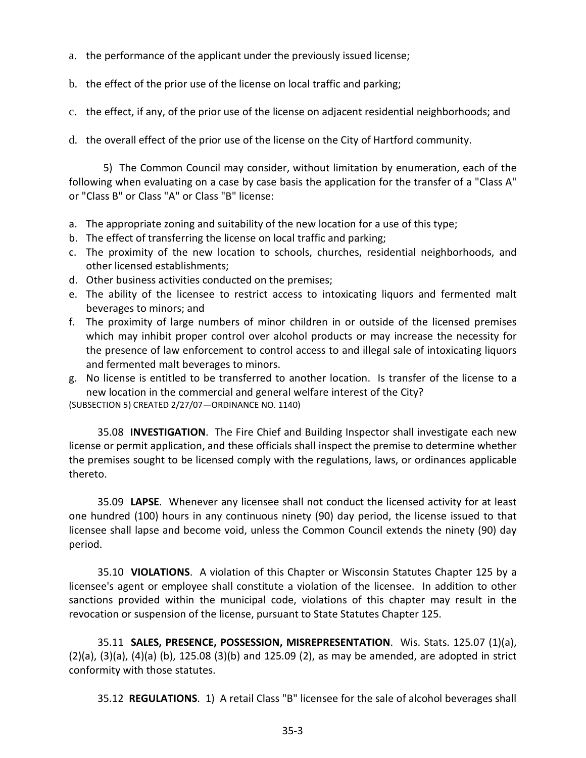a. the performance of the applicant under the previously issued license;

b. the effect of the prior use of the license on local traffic and parking;

c. the effect, if any, of the prior use of the license on adjacent residential neighborhoods; and

d. the overall effect of the prior use of the license on the City of Hartford community.

5) The Common Council may consider, without limitation by enumeration, each of the following when evaluating on a case by case basis the application for the transfer of a "Class A" or "Class B" or Class "A" or Class "B" license:

- a. The appropriate zoning and suitability of the new location for a use of this type;
- b. The effect of transferring the license on local traffic and parking;
- c. The proximity of the new location to schools, churches, residential neighborhoods, and other licensed establishments;
- d. Other business activities conducted on the premises;
- e. The ability of the licensee to restrict access to intoxicating liquors and fermented malt beverages to minors; and
- f. The proximity of large numbers of minor children in or outside of the licensed premises which may inhibit proper control over alcohol products or may increase the necessity for the presence of law enforcement to control access to and illegal sale of intoxicating liquors and fermented malt beverages to minors.

g. No license is entitled to be transferred to another location. Is transfer of the license to a new location in the commercial and general welfare interest of the City?

(SUBSECTION 5) CREATED 2/27/07—ORDINANCE NO. 1140)

35.08 **INVESTIGATION**. The Fire Chief and Building Inspector shall investigate each new license or permit application, and these officials shall inspect the premise to determine whether the premises sought to be licensed comply with the regulations, laws, or ordinances applicable thereto.

35.09 **LAPSE**. Whenever any licensee shall not conduct the licensed activity for at least one hundred (100) hours in any continuous ninety (90) day period, the license issued to that licensee shall lapse and become void, unless the Common Council extends the ninety (90) day period.

35.10 **VIOLATIONS**. A violation of this Chapter or Wisconsin Statutes Chapter 125 by a licensee's agent or employee shall constitute a violation of the licensee. In addition to other sanctions provided within the municipal code, violations of this chapter may result in the revocation or suspension of the license, pursuant to State Statutes Chapter 125.

35.11 **SALES, PRESENCE, POSSESSION, MISREPRESENTATION**. Wis. Stats. 125.07 (1)(a), (2)(a), (3)(a), (4)(a) (b), 125.08 (3)(b) and 125.09 (2), as may be amended, are adopted in strict conformity with those statutes.

35.12 **REGULATIONS**. 1) A retail Class "B" licensee for the sale of alcohol beverages shall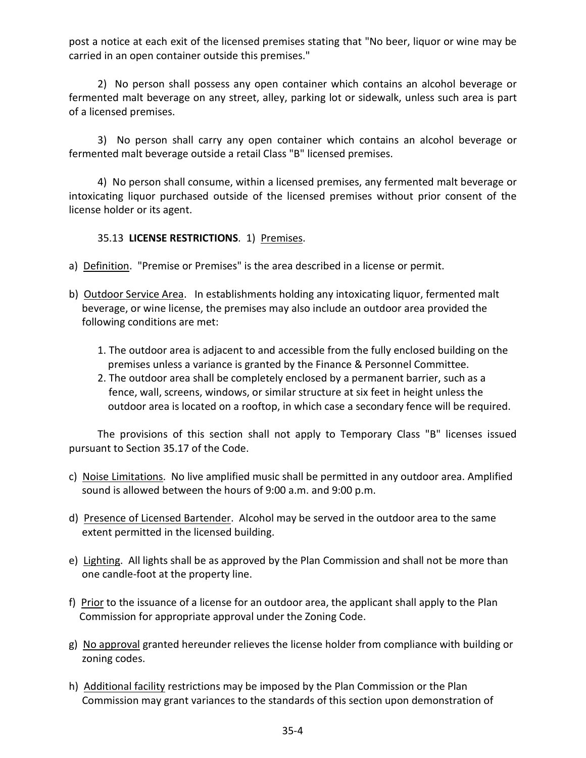post a notice at each exit of the licensed premises stating that "No beer, liquor or wine may be carried in an open container outside this premises."

2) No person shall possess any open container which contains an alcohol beverage or fermented malt beverage on any street, alley, parking lot or sidewalk, unless such area is part of a licensed premises.

3) No person shall carry any open container which contains an alcohol beverage or fermented malt beverage outside a retail Class "B" licensed premises.

4) No person shall consume, within a licensed premises, any fermented malt beverage or intoxicating liquor purchased outside of the licensed premises without prior consent of the license holder or its agent.

## 35.13 **LICENSE RESTRICTIONS**. 1) Premises.

- a) Definition. "Premise or Premises" is the area described in a license or permit.
- b) Outdoor Service Area. In establishments holding any intoxicating liquor, fermented malt beverage, or wine license, the premises may also include an outdoor area provided the following conditions are met:
	- 1. The outdoor area is adjacent to and accessible from the fully enclosed building on the premises unless a variance is granted by the Finance & Personnel Committee.
	- 2. The outdoor area shall be completely enclosed by a permanent barrier, such as a fence, wall, screens, windows, or similar structure at six feet in height unless the outdoor area is located on a rooftop, in which case a secondary fence will be required.

The provisions of this section shall not apply to Temporary Class "B" licenses issued pursuant to Section 35.17 of the Code.

- c) Noise Limitations. No live amplified music shall be permitted in any outdoor area. Amplified sound is allowed between the hours of 9:00 a.m. and 9:00 p.m.
- d) Presence of Licensed Bartender. Alcohol may be served in the outdoor area to the same extent permitted in the licensed building.
- e) Lighting. All lights shall be as approved by the Plan Commission and shall not be more than one candle-foot at the property line.
- f) Prior to the issuance of a license for an outdoor area, the applicant shall apply to the Plan Commission for appropriate approval under the Zoning Code.
- g) No approval granted hereunder relieves the license holder from compliance with building or zoning codes.
- h) Additional facility restrictions may be imposed by the Plan Commission or the Plan Commission may grant variances to the standards of this section upon demonstration of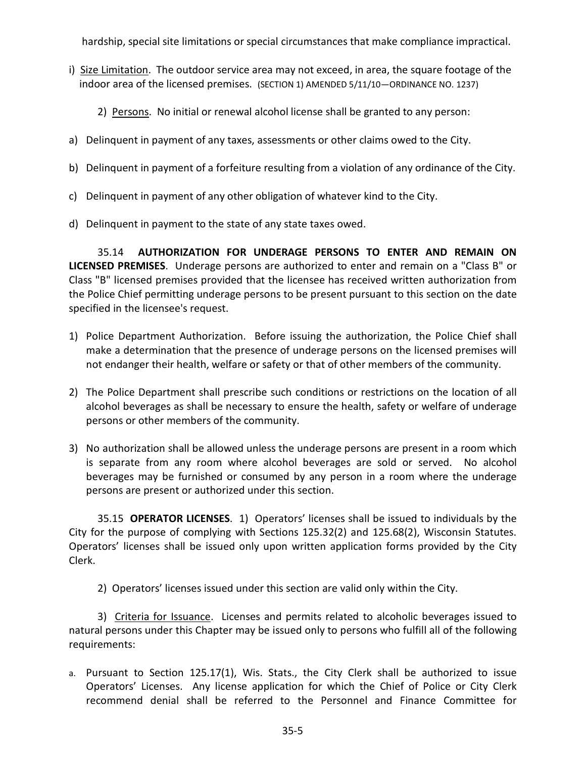hardship, special site limitations or special circumstances that make compliance impractical.

- i) Size Limitation. The outdoor service area may not exceed, in area, the square footage of the indoor area of the licensed premises. (SECTION 1) AMENDED 5/11/10—ORDINANCE NO. 1237)
	- 2) Persons. No initial or renewal alcohol license shall be granted to any person:
- a) Delinquent in payment of any taxes, assessments or other claims owed to the City.
- b) Delinquent in payment of a forfeiture resulting from a violation of any ordinance of the City.
- c) Delinquent in payment of any other obligation of whatever kind to the City.
- d) Delinquent in payment to the state of any state taxes owed.

35.14 **AUTHORIZATION FOR UNDERAGE PERSONS TO ENTER AND REMAIN ON LICENSED PREMISES**. Underage persons are authorized to enter and remain on a "Class B" or Class "B" licensed premises provided that the licensee has received written authorization from the Police Chief permitting underage persons to be present pursuant to this section on the date specified in the licensee's request.

- 1) Police Department Authorization. Before issuing the authorization, the Police Chief shall make a determination that the presence of underage persons on the licensed premises will not endanger their health, welfare or safety or that of other members of the community.
- 2) The Police Department shall prescribe such conditions or restrictions on the location of all alcohol beverages as shall be necessary to ensure the health, safety or welfare of underage persons or other members of the community.
- 3) No authorization shall be allowed unless the underage persons are present in a room which is separate from any room where alcohol beverages are sold or served. No alcohol beverages may be furnished or consumed by any person in a room where the underage persons are present or authorized under this section.

35.15 **OPERATOR LICENSES**. 1) Operators' licenses shall be issued to individuals by the City for the purpose of complying with Sections 125.32(2) and 125.68(2), Wisconsin Statutes. Operators' licenses shall be issued only upon written application forms provided by the City Clerk.

2) Operators' licenses issued under this section are valid only within the City.

3) Criteria for Issuance. Licenses and permits related to alcoholic beverages issued to natural persons under this Chapter may be issued only to persons who fulfill all of the following requirements:

a. Pursuant to Section 125.17(1), Wis. Stats., the City Clerk shall be authorized to issue Operators' Licenses. Any license application for which the Chief of Police or City Clerk recommend denial shall be referred to the Personnel and Finance Committee for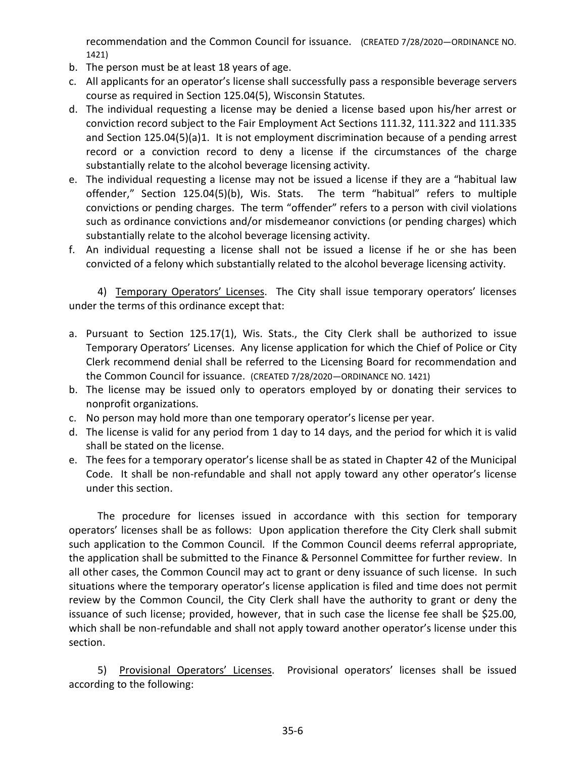recommendation and the Common Council for issuance. (CREATED 7/28/2020—ORDINANCE NO. 1421)

- b. The person must be at least 18 years of age.
- c. All applicants for an operator's license shall successfully pass a responsible beverage servers course as required in Section 125.04(5), Wisconsin Statutes.
- d. The individual requesting a license may be denied a license based upon his/her arrest or conviction record subject to the Fair Employment Act Sections 111.32, 111.322 and 111.335 and Section 125.04(5)(a)1. It is not employment discrimination because of a pending arrest record or a conviction record to deny a license if the circumstances of the charge substantially relate to the alcohol beverage licensing activity.
- e. The individual requesting a license may not be issued a license if they are a "habitual law offender," Section 125.04(5)(b), Wis. Stats. The term "habitual" refers to multiple convictions or pending charges. The term "offender" refers to a person with civil violations such as ordinance convictions and/or misdemeanor convictions (or pending charges) which substantially relate to the alcohol beverage licensing activity.
- f. An individual requesting a license shall not be issued a license if he or she has been convicted of a felony which substantially related to the alcohol beverage licensing activity.

4) Temporary Operators' Licenses. The City shall issue temporary operators' licenses under the terms of this ordinance except that:

- a. Pursuant to Section 125.17(1), Wis. Stats., the City Clerk shall be authorized to issue Temporary Operators' Licenses. Any license application for which the Chief of Police or City Clerk recommend denial shall be referred to the Licensing Board for recommendation and the Common Council for issuance. (CREATED 7/28/2020—ORDINANCE NO. 1421)
- b. The license may be issued only to operators employed by or donating their services to nonprofit organizations.
- c. No person may hold more than one temporary operator's license per year.
- d. The license is valid for any period from 1 day to 14 days, and the period for which it is valid shall be stated on the license.
- e. The fees for a temporary operator's license shall be as stated in Chapter 42 of the Municipal Code. It shall be non-refundable and shall not apply toward any other operator's license under this section.

The procedure for licenses issued in accordance with this section for temporary operators' licenses shall be as follows: Upon application therefore the City Clerk shall submit such application to the Common Council. If the Common Council deems referral appropriate, the application shall be submitted to the Finance & Personnel Committee for further review. In all other cases, the Common Council may act to grant or deny issuance of such license. In such situations where the temporary operator's license application is filed and time does not permit review by the Common Council, the City Clerk shall have the authority to grant or deny the issuance of such license; provided, however, that in such case the license fee shall be \$25.00, which shall be non-refundable and shall not apply toward another operator's license under this section.

5) Provisional Operators' Licenses. Provisional operators' licenses shall be issued according to the following: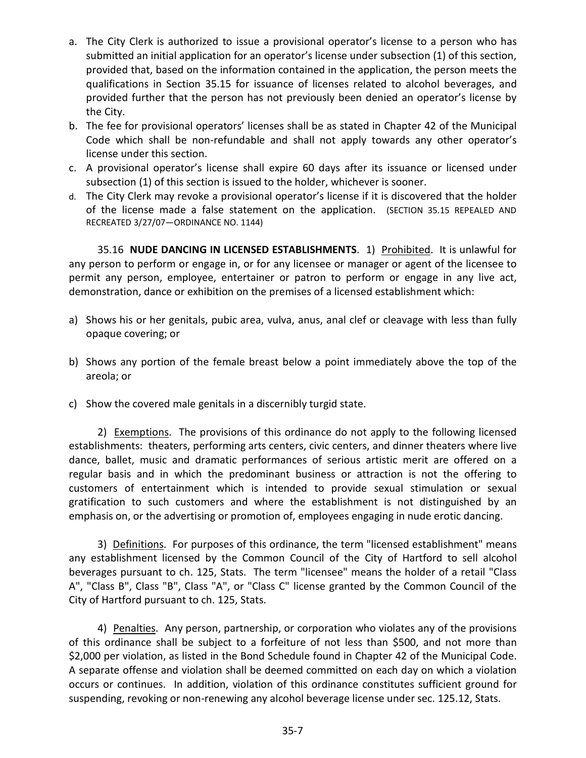- a. The City Clerk is authorized to issue a provisional operator's license to a person who has submitted an initial application for an operator's license under subsection (1) of this section, provided that, based on the information contained in the application, the person meets the qualifications in Section 35.15 for issuance of licenses related to alcohol beverages, and provided further that the person has not previously been denied an operator's license by the City.
- b. The fee for provisional operators' licenses shall be as stated in Chapter 42 of the Municipal Code which shall be non-refundable and shall not apply towards any other operator's license under this section.
- c. A provisional operator's license shall expire 60 days after its issuance or licensed under subsection (1) of this section is issued to the holder, whichever is sooner.
- d. The City Clerk may revoke a provisional operator's license if it is discovered that the holder of the license made a false statement on the application. (SECTION 35.15 REPEALED AND RECREATED 3/27/07—ORDINANCE NO. 1144)

35.16 **NUDE DANCING IN LICENSED ESTABLISHMENTS**. 1) Prohibited. It is unlawful for any person to perform or engage in, or for any licensee or manager or agent of the licensee to permit any person, employee, entertainer or patron to perform or engage in any live act, demonstration, dance or exhibition on the premises of a licensed establishment which:

- a) Shows his or her genitals, pubic area, vulva, anus, anal clef or cleavage with less than fully opaque covering; or
- b) Shows any portion of the female breast below a point immediately above the top of the areola; or
- c) Show the covered male genitals in a discernibly turgid state.

2) Exemptions. The provisions of this ordinance do not apply to the following licensed establishments: theaters, performing arts centers, civic centers, and dinner theaters where live dance, ballet, music and dramatic performances of serious artistic merit are offered on a regular basis and in which the predominant business or attraction is not the offering to customers of entertainment which is intended to provide sexual stimulation or sexual gratification to such customers and where the establishment is not distinguished by an emphasis on, or the advertising or promotion of, employees engaging in nude erotic dancing.

3) Definitions. For purposes of this ordinance, the term "licensed establishment" means any establishment licensed by the Common Council of the City of Hartford to sell alcohol beverages pursuant to ch. 125, Stats. The term "licensee" means the holder of a retail "Class A", "Class B", Class "B", Class "A", or "Class C" license granted by the Common Council of the City of Hartford pursuant to ch. 125, Stats.

4) Penalties. Any person, partnership, or corporation who violates any of the provisions of this ordinance shall be subject to a forfeiture of not less than \$500, and not more than \$2,000 per violation, as listed in the Bond Schedule found in Chapter 42 of the Municipal Code. A separate offense and violation shall be deemed committed on each day on which a violation occurs or continues. In addition, violation of this ordinance constitutes sufficient ground for suspending, revoking or non-renewing any alcohol beverage license under sec. 125.12, Stats.